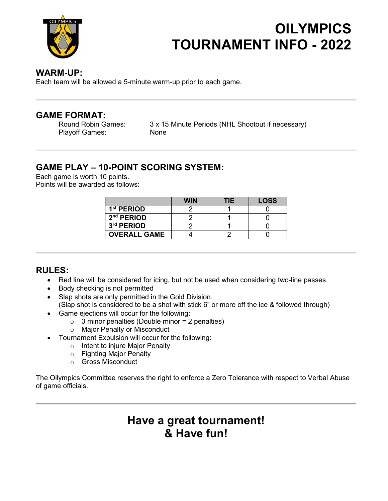

# OILYMPICS TOURNAMENT INFO - 2022

### WARM-UP:

Each team will be allowed a 5-minute warm-up prior to each game.

### GAME FORMAT:

Playoff Games: None

Round Robin Games: 3 x 15 Minute Periods (NHL Shootout if necessary)

# GAME PLAY – 10-POINT SCORING SYSTEM:

Each game is worth 10 points. Points will be awarded as follows:

|                        | <b>WIN</b> | TIE | <b>LOSS</b> |
|------------------------|------------|-----|-------------|
| 1 <sup>st</sup> PERIOD |            |     |             |
| $2nd$ PERIOD           |            |     |             |
| 3rd PERIOD             |            |     |             |
| <b>OVERALL GAME</b>    |            |     |             |

# RULES:

- Red line will be considered for icing, but not be used when considering two-line passes.
- Body checking is not permitted
- Slap shots are only permitted in the Gold Division.
- (Slap shot is considered to be a shot with stick 6" or more off the ice & followed through)
- Game ejections will occur for the following:
	- $\circ$  3 minor penalties (Double minor = 2 penalties)
		- o Major Penalty or Misconduct
- Tournament Expulsion will occur for the following:
	- o Intent to injure Major Penalty
	- o Fighting Major Penalty
	- o Gross Misconduct

The Oilympics Committee reserves the right to enforce a Zero Tolerance with respect to Verbal Abuse of game officials.

# Have a great tournament! & Have fun!